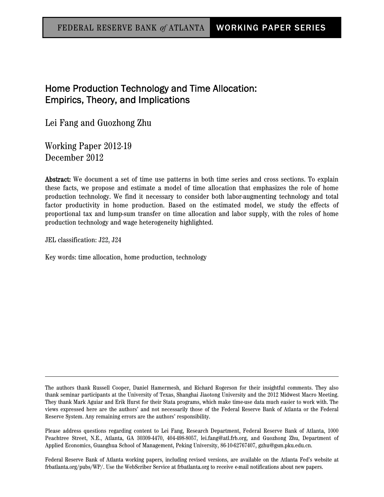# Home Production Technology and Time Allocation: Empirics, Theory, and Implications

Lei Fang and Guozhong Zhu

Working Paper 2012-19 December 2012

Abstract: We document a set of time use patterns in both time series and cross sections. To explain these facts, we propose and estimate a model of time allocation that emphasizes the role of home production technology. We find it necessary to consider both labor-augmenting technology and total factor productivity in home production. Based on the estimated model, we study the effects of proportional tax and lump-sum transfer on time allocation and labor supply, with the roles of home production technology and wage heterogeneity highlighted.

JEL classification: J22, J24

Key words: time allocation, home production, technology

Federal Reserve Bank of Atlanta working papers, including revised versions, are available on the Atlanta Fed's website at frbatlanta.org/pubs/WP/. Use the WebScriber Service at frbatlanta.org to receive e-mail notifications about new papers.

The authors thank Russell Cooper, Daniel Hamermesh, and Richard Rogerson for their insightful comments. They also thank seminar participants at the University of Texas, Shanghai Jiaotong University and the 2012 Midwest Macro Meeting. They thank Mark Aguiar and Erik Hurst for their Stata programs, which make time-use data much easier to work with. The views expressed here are the authors' and not necessarily those of the Federal Reserve Bank of Atlanta or the Federal Reserve System. Any remaining errors are the authors' responsibility.

Please address questions regarding content to Lei Fang, Research Department, Federal Reserve Bank of Atlanta, 1000 Peachtree Street, N.E., Atlanta, GA 30309-4470, 404-498-8057, lei.fang@atl.frb.org, and Guozhong Zhu, Department of Applied Economics, Guanghua School of Management, Peking University, 86-10-62767407, gzhu@gsm.pku.edu.cn.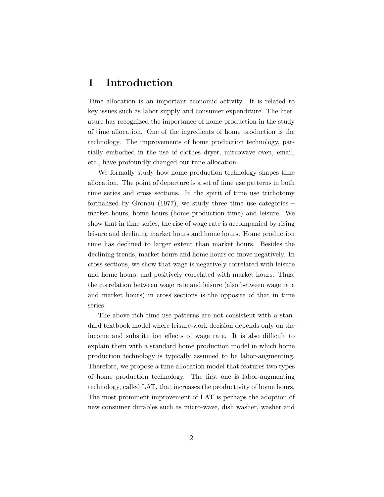# 1 Introduction

Time allocation is an important economic activity. It is related to key issues such as labor supply and consumer expenditure. The literature has recognized the importance of home production in the study of time allocation. One of the ingredients of home production is the technology. The improvements of home production technology, partially embodied in the use of clothes dryer, mircowave oven, email, etc., have profoundly changed our time allocation.

We formally study how home production technology shapes time allocation. The point of departure is a set of time use patterns in both time series and cross sections. In the spirit of time use trichotomy formalized by [Gronau](#page-35-0) [\(1977\)](#page-35-0), we study three time use categories – market hours, home hours (home production time) and leisure. We show that in time series, the rise of wage rate is accompanied by rising leisure and declining market hours and home hours. Home production time has declined to larger extent than market hours. Besides the declining trends, market hours and home hours co-move negatively. In cross sections, we show that wage is negatively correlated with leisure and home hours, and positively correlated with market hours. Thus, the correlation between wage rate and leisure (also between wage rate and market hours) in cross sections is the opposite of that in time series.

The above rich time use patterns are not consistent with a standard textbook model where leisure-work decision depends only on the income and substitution effects of wage rate. It is also difficult to explain them with a standard home production model in which home production technology is typically assumed to be labor-augmenting. Therefore, we propose a time allocation model that features two types of home production technology. The first one is labor-augmenting technology, called LAT, that increases the productivity of home hours. The most prominent improvement of LAT is perhaps the adoption of new consumer durables such as micro-wave, dish washer, washer and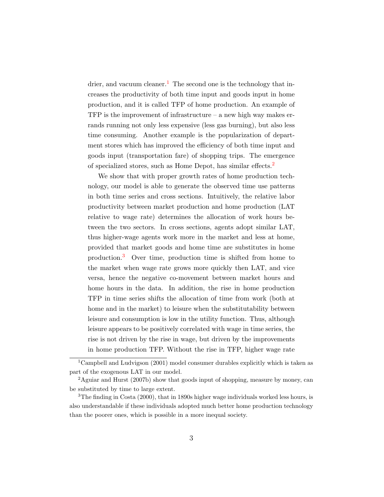drier, and vacuum cleaner.<sup>[1](#page-2-0)</sup> The second one is the technology that increases the productivity of both time input and goods input in home production, and it is called TFP of home production. An example of TFP is the improvement of infrastructure – a new high way makes errands running not only less expensive (less gas burning), but also less time consuming. Another example is the popularization of department stores which has improved the efficiency of both time input and goods input (transportation fare) of shopping trips. The emergence of specialized stores, such as Home Depot, has similar effects.[2](#page-2-1)

We show that with proper growth rates of home production technology, our model is able to generate the observed time use patterns in both time series and cross sections. Intuitively, the relative labor productivity between market production and home production (LAT relative to wage rate) determines the allocation of work hours between the two sectors. In cross sections, agents adopt similar LAT, thus higher-wage agents work more in the market and less at home, provided that market goods and home time are substitutes in home production.[3](#page-2-2) Over time, production time is shifted from home to the market when wage rate grows more quickly then LAT, and vice versa, hence the negative co-movement between market hours and home hours in the data. In addition, the rise in home production TFP in time series shifts the allocation of time from work (both at home and in the market) to leisure when the substitutability between leisure and consumption is low in the utility function. Thus, although leisure appears to be positively correlated with wage in time series, the rise is not driven by the rise in wage, but driven by the improvements in home production TFP. Without the rise in TFP, higher wage rate

<span id="page-2-0"></span><sup>1</sup>[Campbell and Ludvigson](#page-34-0) [\(2001\)](#page-34-0) model consumer durables explicitly which is taken as part of the exogenous LAT in our model.

<span id="page-2-1"></span><sup>2</sup>[Aguiar and Hurst](#page-34-1) [\(2007b\)](#page-34-1) show that goods input of shopping, measure by money, can be substituted by time to large extent.

<span id="page-2-2"></span><sup>&</sup>lt;sup>3</sup>The finding in [Costa](#page-34-2) [\(2000\)](#page-34-2), that in 1890s higher wage individuals worked less hours, is also understandable if these individuals adopted much better home production technology than the poorer ones, which is possible in a more inequal society.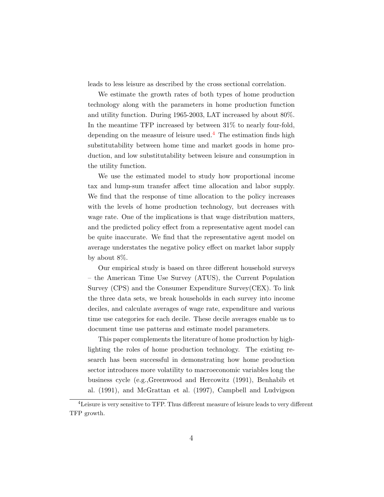leads to less leisure as described by the cross sectional correlation.

We estimate the growth rates of both types of home production technology along with the parameters in home production function and utility function. During 1965-2003, LAT increased by about 80%. In the meantime TFP increased by between 31% to nearly four-fold, depending on the measure of leisure used.<sup>[4](#page-3-0)</sup> The estimation finds high substitutability between home time and market goods in home production, and low substitutability between leisure and consumption in the utility function.

We use the estimated model to study how proportional income tax and lump-sum transfer affect time allocation and labor supply. We find that the response of time allocation to the policy increases with the levels of home production technology, but decreases with wage rate. One of the implications is that wage distribution matters, and the predicted policy effect from a representative agent model can be quite inaccurate. We find that the representative agent model on average understates the negative policy effect on market labor supply by about 8%.

Our empirical study is based on three different household surveys – the American Time Use Survey (ATUS), the Current Population Survey (CPS) and the Consumer Expenditure Survey(CEX). To link the three data sets, we break households in each survey into income deciles, and calculate averages of wage rate, expenditure and various time use categories for each decile. These decile averages enable us to document time use patterns and estimate model parameters.

This paper complements the literature of home production by highlighting the roles of home production technology. The existing research has been successful in demonstrating how home production sector introduces more volatility to macroeconomic variables long the business cycle (e.g.[,Greenwood and Hercowitz](#page-35-1) [\(1991\)](#page-35-1), [Benhabib et](#page-34-3) [al.](#page-34-3) [\(1991\)](#page-34-3), and [McGrattan et al.](#page-36-0) [\(1997\)](#page-36-0), [Campbell and Ludvigson](#page-34-0)

<span id="page-3-0"></span><sup>&</sup>lt;sup>4</sup>Leisure is very sensitive to TFP. Thus different measure of leisure leads to very different TFP growth.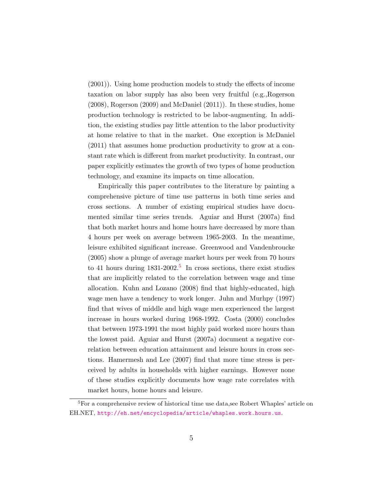[\(2001\)](#page-34-0)). Using home production models to study the effects of income taxation on labor supply has also been very fruitful (e.g.[,Rogerson](#page-36-1) [\(2008\)](#page-36-1), [Rogerson](#page-36-2) [\(2009\)](#page-36-2) and [McDaniel](#page-35-2) [\(2011\)](#page-35-2)). In these studies, home production technology is restricted to be labor-augmenting. In addition, the existing studies pay little attention to the labor productivity at home relative to that in the market. One exception is [McDaniel](#page-35-2) [\(2011\)](#page-35-2) that assumes home production productivity to grow at a constant rate which is different from market productivity. In contrast, our paper explicitly estimates the growth of two types of home production technology, and examine its impacts on time allocation.

Empirically this paper contributes to the literature by painting a comprehensive picture of time use patterns in both time series and cross sections. A number of existing empirical studies have documented similar time series trends. [Aguiar and Hurst](#page-34-4) [\(2007a\)](#page-34-4) find that both market hours and home hours have decreased by more than 4 hours per week on average between 1965-2003. In the meantime, leisure exhibited significant increase. [Greenwood and Vandenbroucke](#page-35-3) [\(2005\)](#page-35-3) show a plunge of average market hours per week from 70 hours to 41 hours during  $1831-2002<sup>5</sup>$  $1831-2002<sup>5</sup>$  $1831-2002<sup>5</sup>$  In cross sections, there exist studies that are implicitly related to the correlation between wage and time allocation. [Kuhn and Lozano](#page-35-4) [\(2008\)](#page-35-4) find that highly-educated, high wage men have a tendency to work longer. [Juhn and Murhpy](#page-35-5) [\(1997\)](#page-35-5) find that wives of middle and high wage men experienced the largest increase in hours worked during 1968-1992. [Costa](#page-34-2) [\(2000\)](#page-34-2) concludes that between 1973-1991 the most highly paid worked more hours than the lowest paid. [Aguiar and Hurst](#page-34-4) [\(2007a\)](#page-34-4) document a negative correlation between education attainment and leisure hours in cross sections. [Hamermesh and Lee](#page-35-6) [\(2007\)](#page-35-6) find that more time stress is perceived by adults in households with higher earnings. However none of these studies explicitly documents how wage rate correlates with market hours, home hours and leisure.

<span id="page-4-0"></span><sup>&</sup>lt;sup>5</sup>For a comprehensive review of historical time use data, see Robert Whaples' article on EH.NET, <http://eh.net/encyclopedia/article/whaples.work.hours.us>.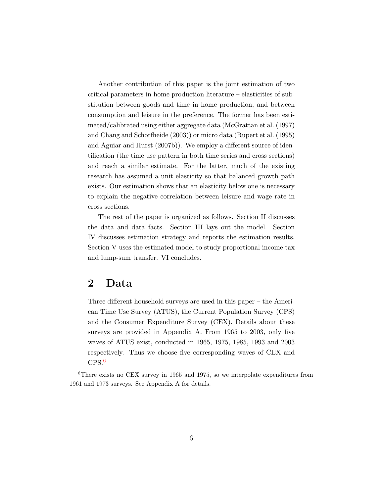Another contribution of this paper is the joint estimation of two critical parameters in home production literature – elasticities of substitution between goods and time in home production, and between consumption and leisure in the preference. The former has been estimated/calibrated using either aggregate data [\(McGrattan et al.](#page-36-0) [\(1997\)](#page-36-0) and [Chang and Schorfheide](#page-34-5) [\(2003\)](#page-34-5)) or micro data [\(Rupert et al.](#page-36-3) [\(1995\)](#page-36-3) and [Aguiar and Hurst](#page-34-1) [\(2007b\)](#page-34-1)). We employ a different source of identification (the time use pattern in both time series and cross sections) and reach a similar estimate. For the latter, much of the existing research has assumed a unit elasticity so that balanced growth path exists. Our estimation shows that an elasticity below one is necessary to explain the negative correlation between leisure and wage rate in cross sections.

The rest of the paper is organized as follows. Section II discusses the data and data facts. Section III lays out the model. Section IV discusses estimation strategy and reports the estimation results. Section V uses the estimated model to study proportional income tax and lump-sum transfer. VI concludes.

## <span id="page-5-1"></span>2 Data

Three different household surveys are used in this paper – the American Time Use Survey (ATUS), the Current Population Survey (CPS) and the Consumer Expenditure Survey (CEX). Details about these surveys are provided in Appendix A. From 1965 to 2003, only five waves of ATUS exist, conducted in 1965, 1975, 1985, 1993 and 2003 respectively. Thus we choose five corresponding waves of CEX and CPS.[6](#page-5-0)

<span id="page-5-0"></span> ${}^{6}$ There exists no CEX survey in 1965 and 1975, so we interpolate expenditures from 1961 and 1973 surveys. See Appendix A for details.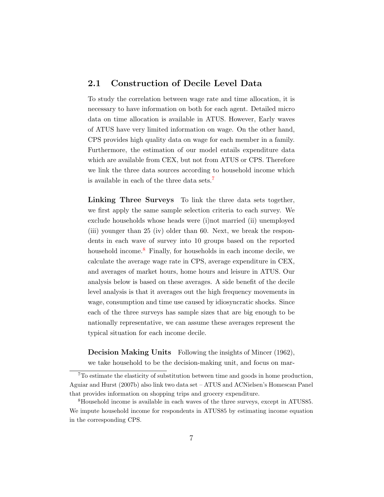### 2.1 Construction of Decile Level Data

To study the correlation between wage rate and time allocation, it is necessary to have information on both for each agent. Detailed micro data on time allocation is available in ATUS. However, Early waves of ATUS have very limited information on wage. On the other hand, CPS provides high quality data on wage for each member in a family. Furthermore, the estimation of our model entails expenditure data which are available from CEX, but not from ATUS or CPS. Therefore we link the three data sources according to household income which is available in each of the three data sets.[7](#page-6-0)

Linking Three Surveys To link the three data sets together, we first apply the same sample selection criteria to each survey. We exclude households whose heads were (i)not married (ii) unemployed (iii) younger than 25 (iv) older than 60. Next, we break the respondents in each wave of survey into 10 groups based on the reported household income. $8$  Finally, for households in each income decile, we calculate the average wage rate in CPS, average expenditure in CEX, and averages of market hours, home hours and leisure in ATUS. Our analysis below is based on these averages. A side benefit of the decile level analysis is that it averages out the high frequency movements in wage, consumption and time use caused by idiosyncratic shocks. Since each of the three surveys has sample sizes that are big enough to be nationally representative, we can assume these averages represent the typical situation for each income decile.

Decision Making Units Following the insights of [Mincer](#page-36-4) [\(1962\)](#page-36-4), we take household to be the decision-making unit, and focus on mar-

<span id="page-6-0"></span><sup>7</sup>To estimate the elasticity of substitution between time and goods in home production, [Aguiar and Hurst](#page-34-1) [\(2007b\)](#page-34-1) also link two data set – ATUS and ACNielsen's Homescan Panel that provides information on shopping trips and grocery expenditure.

<span id="page-6-1"></span><sup>8</sup>Household income is available in each waves of the three surveys, except in ATUS85. We impute household income for respondents in ATUS85 by estimating income equation in the corresponding CPS.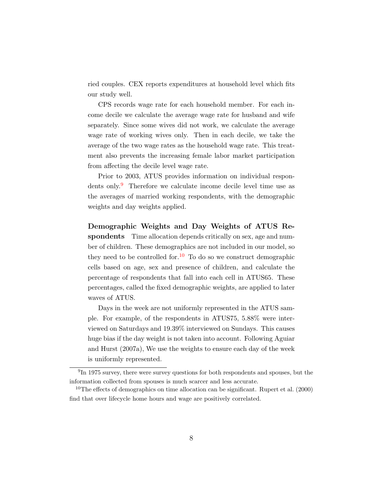ried couples. CEX reports expenditures at household level which fits our study well.

CPS records wage rate for each household member. For each income decile we calculate the average wage rate for husband and wife separately. Since some wives did not work, we calculate the average wage rate of working wives only. Then in each decile, we take the average of the two wage rates as the household wage rate. This treatment also prevents the increasing female labor market participation from affecting the decile level wage rate.

Prior to 2003, ATUS provides information on individual respon-dents only. <sup>[9](#page-7-0)</sup> Therefore we calculate income decile level time use as the averages of married working respondents, with the demographic weights and day weights applied.

Demographic Weights and Day Weights of ATUS Respondents Time allocation depends critically on sex, age and number of children. These demographics are not included in our model, so they need to be controlled for.<sup>[10](#page-7-1)</sup> To do so we construct demographic cells based on age, sex and presence of children, and calculate the percentage of respondents that fall into each cell in ATUS65. These percentages, called the fixed demographic weights, are applied to later waves of ATUS.

Days in the week are not uniformly represented in the ATUS sample. For example, of the respondents in ATUS75, 5.88% were interviewed on Saturdays and 19.39% interviewed on Sundays. This causes huge bias if the day weight is not taken into account. Following [Aguiar](#page-34-4) [and Hurst](#page-34-4) [\(2007a\)](#page-34-4), We use the weights to ensure each day of the week is uniformly represented.

<span id="page-7-0"></span><sup>&</sup>lt;sup>9</sup>In 1975 survey, there were survey questions for both respondents and spouses, but the information collected from spouses is much scarcer and less accurate.

<span id="page-7-1"></span><sup>&</sup>lt;sup>10</sup>The effects of demographics on time allocation can be significant. [Rupert et al.](#page-36-5)  $(2000)$ find that over lifecycle home hours and wage are positively correlated.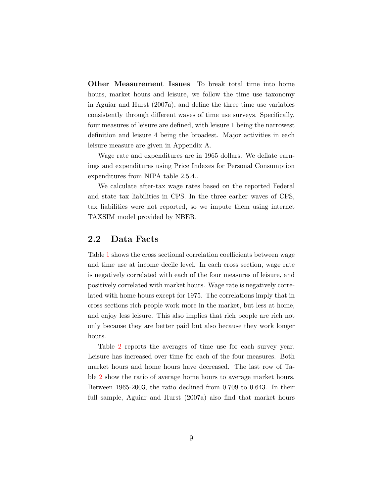Other Measurement Issues To break total time into home hours, market hours and leisure, we follow the time use taxonomy in [Aguiar and Hurst](#page-34-4) [\(2007a\)](#page-34-4), and define the three time use variables consistently through different waves of time use surveys. Specifically, four measures of leisure are defined, with leisure 1 being the narrowest definition and leisure 4 being the broadest. Major activities in each leisure measure are given in Appendix A.

Wage rate and expenditures are in 1965 dollars. We deflate earnings and expenditures using Price Indexes for Personal Consumption expenditures from NIPA table 2.5.4..

We calculate after-tax wage rates based on the reported Federal and state tax liabilities in CPS. In the three earlier waves of CPS, tax liabilities were not reported, so we impute them using internet TAXSIM model provided by NBER.

#### 2.2 Data Facts

Table [1](#page-9-0) shows the cross sectional correlation coefficients between wage and time use at income decile level. In each cross section, wage rate is negatively correlated with each of the four measures of leisure, and positively correlated with market hours. Wage rate is negatively correlated with home hours except for 1975. The correlations imply that in cross sections rich people work more in the market, but less at home, and enjoy less leisure. This also implies that rich people are rich not only because they are better paid but also because they work longer hours.

Table [2](#page-9-1) reports the averages of time use for each survey year. Leisure has increased over time for each of the four measures. Both market hours and home hours have decreased. The last row of Table [2](#page-9-1) show the ratio of average home hours to average market hours. Between 1965-2003, the ratio declined from 0.709 to 0.643. In their full sample, [Aguiar and Hurst](#page-34-4) [\(2007a\)](#page-34-4) also find that market hours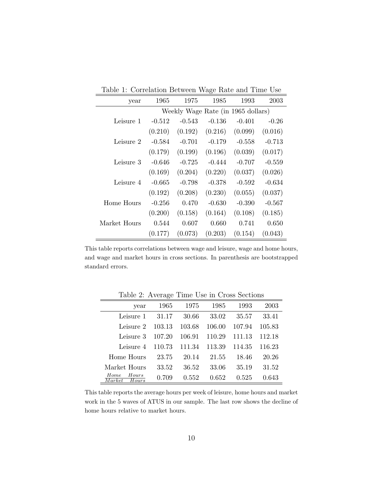<span id="page-9-0"></span>Table 1: Correlation Between Wage Rate and Time Use

| year         | 1965     | 1975                               | 1985     | 1993     | 2003     |
|--------------|----------|------------------------------------|----------|----------|----------|
|              |          | Weekly Wage Rate (in 1965 dollars) |          |          |          |
| Leisure 1    | $-0.512$ | $-0.543$                           | $-0.136$ | $-0.401$ | $-0.26$  |
|              | (0.210)  | (0.192)                            | (0.216)  | (0.099)  | (0.016)  |
| Leisure 2    | $-0.584$ | $-0.701$                           | $-0.179$ | $-0.558$ | $-0.713$ |
|              | (0.179)  | (0.199)                            | (0.196)  | (0.039)  | (0.017)  |
| Leisure 3    | $-0.646$ | $-0.725$                           | $-0.444$ | $-0.707$ | $-0.559$ |
|              | (0.169)  | (0.204)                            | (0.220)  | (0.037)  | (0.026)  |
| Leisure 4    | $-0.665$ | $-0.798$                           | $-0.378$ | $-0.592$ | $-0.634$ |
|              | (0.192)  | (0.208)                            | (0.230)  | (0.055)  | (0.037)  |
| Home Hours   | $-0.256$ | 0.470                              | $-0.630$ | $-0.390$ | $-0.567$ |
|              | (0.200)  | (0.158)                            | (0.164)  | (0.108)  | (0.185)  |
| Market Hours | 0.544    | 0.607                              | 0.660    | 0.741    | 0.650    |
|              | (0.177)  | (0.073)                            | (0.203)  | (0.154)  | (0.043)  |

This table reports correlations between wage and leisure, wage and home hours, and wage and market hours in cross sections. In parenthesis are bootstrapped standard errors.

| year                             | 1965   | 1975   | 1985   | 1993   | 2003   |
|----------------------------------|--------|--------|--------|--------|--------|
| Leisure 1                        | 31.17  | 30.66  | 33.02  | 35.57  | 33.41  |
| Leisure 2                        | 103.13 | 103.68 | 106.00 | 107.94 | 105.83 |
| Leisure 3                        | 107.20 | 106.91 | 110.29 | 111.13 | 112.18 |
| Leisure 4                        | 110.73 | 111.34 | 113.39 | 114.35 | 116.23 |
| Home Hours                       | 23.75  | 20.14  | 21.55  | 18.46  | 20.26  |
| Market Hours                     | 33.52  | 36.52  | 33.06  | 35.19  | 31.52  |
| Hours<br>Home<br>Market<br>Hours | 0.709  | 0.552  | 0.652  | 0.525  | 0.643  |

<span id="page-9-1"></span>Table 2: Average Time Use in Cross Sections

This table reports the average hours per week of leisure, home hours and market work in the 5 waves of ATUS in our sample. The last row shows the decline of home hours relative to market hours.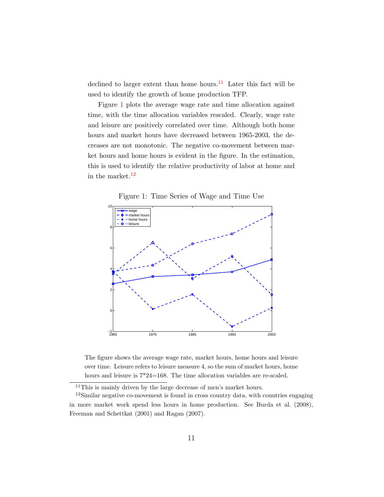declined to larger extent than home hours.<sup>[11](#page-10-0)</sup> Later this fact will be used to identify the growth of home production TFP.

Figure [1](#page-10-1) plots the average wage rate and time allocation against time, with the time allocation variables rescaled. Clearly, wage rate and leisure are positively correlated over time. Although both home hours and market hours have decreased between 1965-2003, the decreases are not monotonic. The negative co-movement between market hours and home hours is evident in the figure. In the estimation, this is used to identify the relative productivity of labor at home and in the market. $12$ 

<span id="page-10-1"></span>Figure 1: Time Series of Wage and Time Use



The figure shows the average wage rate, market hours, home hours and leisure over time. Leisure refers to leisure measure 4, so the sum of market hours, home hours and leisure is  $7*24=168$ . The time allocation variables are re-scaled.

<span id="page-10-2"></span><span id="page-10-0"></span> $11$ This is mainly driven by the large decrease of men's market hours.

<sup>12</sup>Similar negative co-movement is found in cross country data, with countries engaging in more market work spend less hours in home production. See [Burda et al.](#page-34-6) [\(2008\)](#page-34-6), [Freeman and Schettkat](#page-35-7) [\(2001\)](#page-35-7) and [Ragan](#page-36-6) [\(2007\)](#page-36-6).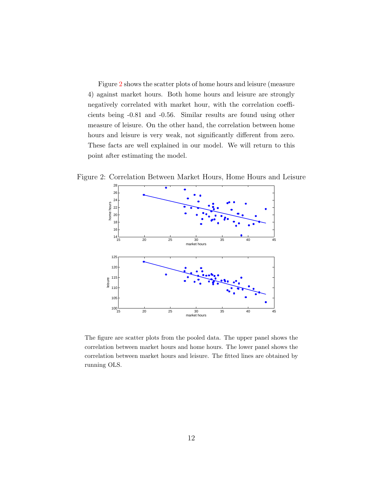Figure [2](#page-11-0) shows the scatter plots of home hours and leisure (measure 4) against market hours. Both home hours and leisure are strongly negatively correlated with market hour, with the correlation coefficients being -0.81 and -0.56. Similar results are found using other measure of leisure. On the other hand, the correlation between home hours and leisure is very weak, not significantly different from zero. These facts are well explained in our model. We will return to this point after estimating the model.

Figure 2: Correlation Between Market Hours, Home Hours and Leisure

<span id="page-11-0"></span>

The figure are scatter plots from the pooled data. The upper panel shows the correlation between market hours and home hours. The lower panel shows the correlation between market hours and leisure. The fitted lines are obtained by running OLS.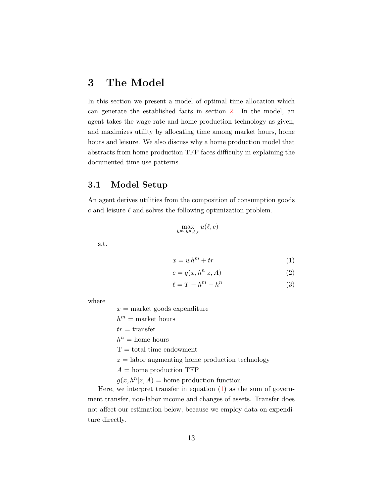# 3 The Model

In this section we present a model of optimal time allocation which can generate the established facts in section [2.](#page-5-1) In the model, an agent takes the wage rate and home production technology as given, and maximizes utility by allocating time among market hours, home hours and leisure. We also discuss why a home production model that abstracts from home production TFP faces difficulty in explaining the documented time use patterns.

## 3.1 Model Setup

An agent derives utilities from the composition of consumption goods  $c$  and leisure  $\ell$  and solves the following optimization problem.

<span id="page-12-0"></span>
$$
\max_{h^m,h^n,\ell,c} u(\ell,c)
$$

s.t.

$$
x = wh^m + tr \tag{1}
$$

$$
c = g(x, h^n | z, A) \tag{2}
$$

$$
\ell = T - h^m - h^n \tag{3}
$$

where

 $x =$  market goods expenditure

 $h^m =$  market hours

 $tr =$ transfer

 $h^n =$  home hours

 $T =$  total time endowment

 $z =$ labor augmenting home production technology

 $A =$ home production TFP

 $g(x, h^n | z, A) = \text{home production function}$ 

Here, we interpret transfer in equation [\(1\)](#page-12-0) as the sum of government transfer, non-labor income and changes of assets. Transfer does not affect our estimation below, because we employ data on expenditure directly.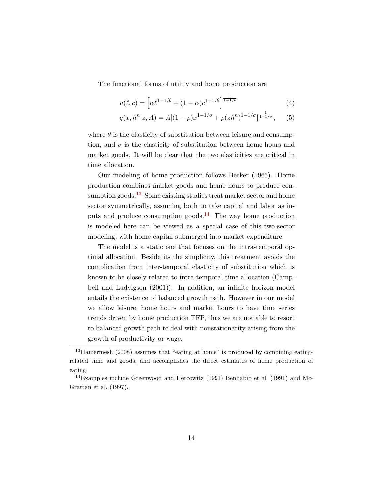The functional forms of utility and home production are

$$
u(\ell, c) = \left[ \alpha \ell^{1 - 1/\theta} + (1 - \alpha) c^{1 - 1/\theta} \right]^{\frac{1}{1 - 1/\theta}}
$$
(4)

$$
g(x, h^{n}|z, A) = A[(1 - \rho)x^{1 - 1/\sigma} + \rho(zh^{n})^{1 - 1/\sigma}]^{\frac{1}{1 - 1/\sigma}}, \quad (5)
$$

where  $\theta$  is the elasticity of substitution between leisure and consumption, and  $\sigma$  is the elasticity of substitution between home hours and market goods. It will be clear that the two elasticities are critical in time allocation.

Our modeling of home production follows [Becker](#page-34-7) [\(1965\)](#page-34-7). Home production combines market goods and home hours to produce con-sumption goods.<sup>[13](#page-13-0)</sup> Some existing studies treat market sector and home sector symmetrically, assuming both to take capital and labor as in-puts and produce consumption goods.<sup>[14](#page-13-1)</sup> The way home production is modeled here can be viewed as a special case of this two-sector modeling, with home capital submerged into market expenditure.

The model is a static one that focuses on the intra-temporal optimal allocation. Beside its the simplicity, this treatment avoids the complication from inter-temporal elasticity of substitution which is known to be closely related to intra-temporal time allocation [\(Camp](#page-34-0)[bell and Ludvigson](#page-34-0) [\(2001\)](#page-34-0)). In addition, an infinite horizon model entails the existence of balanced growth path. However in our model we allow leisure, home hours and market hours to have time series trends driven by home production TFP, thus we are not able to resort to balanced growth path to deal with nonstationarity arising from the growth of productivity or wage.

<span id="page-13-0"></span><sup>13</sup>[Hamermesh](#page-35-8) [\(2008\)](#page-35-8) assumes that "eating at home" is produced by combining eatingrelated time and goods, and accomplishes the direct estimates of home production of eating.

<span id="page-13-1"></span><sup>&</sup>lt;sup>14</sup>Examples include [Greenwood and Hercowitz](#page-35-1) [\(1991\)](#page-34-3) [Benhabib et al.](#page-34-3) (1991) and [Mc-](#page-36-0)[Grattan et al.](#page-36-0) [\(1997\)](#page-36-0).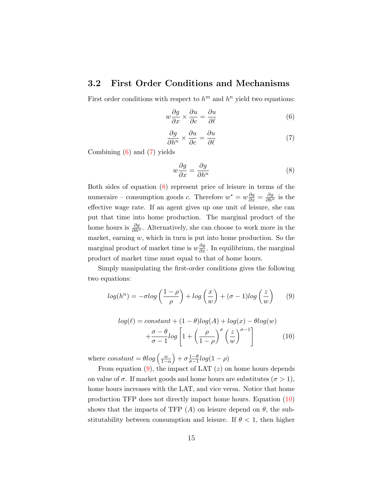### 3.2 First Order Conditions and Mechanisms

First order conditions with respect to  $h^m$  and  $h^n$  yield two equations:

<span id="page-14-0"></span>
$$
w\frac{\partial g}{\partial x} \times \frac{\partial u}{\partial c} = \frac{\partial u}{\partial \ell} \tag{6}
$$

<span id="page-14-1"></span>
$$
\frac{\partial g}{\partial h^n} \times \frac{\partial u}{\partial c} = \frac{\partial u}{\partial \ell} \tag{7}
$$

Combining [\(6\)](#page-14-0) and [\(7\)](#page-14-1) yields

<span id="page-14-2"></span>
$$
w\frac{\partial g}{\partial x} = \frac{\partial g}{\partial h^n} \tag{8}
$$

Both sides of equation [\(8\)](#page-14-2) represent price of leisure in terms of the numeraire – consumption goods c. Therefore  $w^* = w \frac{\partial g}{\partial x} = \frac{\partial g}{\partial h^n}$  is the effective wage rate. If an agent gives up one unit of leisure, she can put that time into home production. The marginal product of the home hours is  $\frac{\partial g}{\partial h^n}$ . Alternatively, she can choose to work more in the market, earning  $w$ , which in turn is put into home production. So the marginal product of market time is  $w \frac{\partial g}{\partial x}$ . In equilibrium, the marginal product of market time must equal to that of home hours.

Simply manipulating the first-order conditions gives the following two equations:

<span id="page-14-3"></span>
$$
log(h^n) = -\sigma log\left(\frac{1-\rho}{\rho}\right) + log\left(\frac{x}{w}\right) + (\sigma - 1)log\left(\frac{z}{w}\right) \tag{9}
$$

<span id="page-14-4"></span>
$$
log(\ell) = constant + (1 - \theta)log(A) + log(x) - \theta log(w)
$$

$$
+ \frac{\sigma - \theta}{\sigma - 1} log\left[1 + \left(\frac{\rho}{1 - \rho}\right)^{\sigma} \left(\frac{z}{w}\right)^{\sigma - 1}\right] \tag{10}
$$

where  $constant = \theta log\left(\frac{\alpha}{1-\alpha}\right) + \sigma \frac{1-\theta}{\sigma-1}$  $rac{1-\theta}{\sigma-1}log(1-\rho)$ 

From equation  $(9)$ , the impact of LAT  $(z)$  on home hours depends on value of  $\sigma$ . If market goods and home hours are substitutes  $(\sigma > 1)$ , home hours increases with the LAT, and vice versa. Notice that home production TFP does not directly impact home hours. Equation [\(10\)](#page-14-4) shows that the impacts of TFP  $(A)$  on leisure depend on  $\theta$ , the substitutability between consumption and leisure. If  $\theta$  < 1, then higher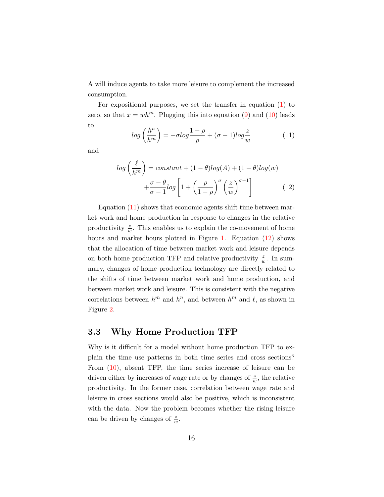A will induce agents to take more leisure to complement the increased consumption.

For expositional purposes, we set the transfer in equation [\(1\)](#page-12-0) to zero, so that  $x = wh^m$ . Plugging this into equation [\(9\)](#page-14-3) and [\(10\)](#page-14-4) leads to

<span id="page-15-0"></span>
$$
log\left(\frac{h^n}{h^m}\right) = -\sigma log\frac{1-\rho}{\rho} + (\sigma - 1)log\frac{z}{w}
$$
 (11)

and

<span id="page-15-1"></span>
$$
log\left(\frac{\ell}{h^m}\right) = constant + (1 - \theta)log(A) + (1 - \theta)log(w) + \frac{\sigma - \theta}{\sigma - 1}log\left[1 + \left(\frac{\rho}{1 - \rho}\right)^{\sigma}\left(\frac{z}{w}\right)^{\sigma - 1}\right]
$$
(12)

Equation [\(11\)](#page-15-0) shows that economic agents shift time between market work and home production in response to changes in the relative productivity  $\frac{z}{w}$ . This enables us to explain the co-movement of home hours and market hours plotted in Figure [1.](#page-10-1) Equation [\(12\)](#page-15-1) shows that the allocation of time between market work and leisure depends on both home production TFP and relative productivity  $\frac{z}{w}$ . In summary, changes of home production technology are directly related to the shifts of time between market work and home production, and between market work and leisure. This is consistent with the negative correlations between  $h^m$  and  $h^n$ , and between  $h^m$  and  $\ell$ , as shown in Figure [2.](#page-11-0)

#### 3.3 Why Home Production TFP

Why is it difficult for a model without home production TFP to explain the time use patterns in both time series and cross sections? From [\(10\)](#page-14-4), absent TFP, the time series increase of leisure can be driven either by increases of wage rate or by changes of  $\frac{z}{w}$ , the relative productivity. In the former case, correlation between wage rate and leisure in cross sections would also be positive, which is inconsistent with the data. Now the problem becomes whether the rising leisure can be driven by changes of  $\frac{z}{w}$ .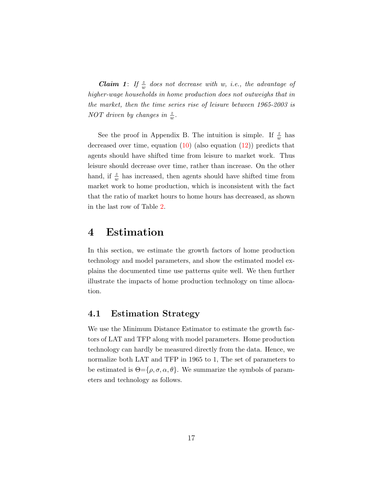**Claim 1:** If  $\frac{z}{w}$  does not decrease with w, i.e., the advantage of higher-wage households in home production does not outweighs that in the market, then the time series rise of leisure between 1965-2003 is NOT driven by changes in  $\frac{z}{w}$ .

See the proof in Appendix B. The intuition is simple. If  $\frac{z}{w}$  has decreased over time, equation  $(10)$  (also equation  $(12)$ ) predicts that agents should have shifted time from leisure to market work. Thus leisure should decrease over time, rather than increase. On the other hand, if  $\frac{z}{w}$  has increased, then agents should have shifted time from market work to home production, which is inconsistent with the fact that the ratio of market hours to home hours has decreased, as shown in the last row of Table [2.](#page-9-1)

# 4 Estimation

In this section, we estimate the growth factors of home production technology and model parameters, and show the estimated model explains the documented time use patterns quite well. We then further illustrate the impacts of home production technology on time allocation.

#### 4.1 Estimation Strategy

We use the Minimum Distance Estimator to estimate the growth factors of LAT and TFP along with model parameters. Home production technology can hardly be measured directly from the data. Hence, we normalize both LAT and TFP in 1965 to 1, The set of parameters to be estimated is  $\Theta = {\rho, \sigma, \alpha, \theta}$ . We summarize the symbols of parameters and technology as follows.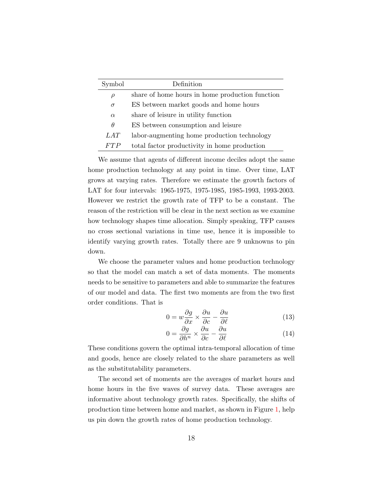| Symbol   | Definition                                      |
|----------|-------------------------------------------------|
| $\rho$   | share of home hours in home production function |
| $\sigma$ | ES between market goods and home hours          |
| $\alpha$ | share of leisure in utility function            |
| $\theta$ | ES between consumption and leisure              |
| LAT      | labor-augmenting home production technology     |
| FTP      | total factor productivity in home production    |

We assume that agents of different income deciles adopt the same home production technology at any point in time. Over time, LAT grows at varying rates. Therefore we estimate the growth factors of LAT for four intervals: 1965-1975, 1975-1985, 1985-1993, 1993-2003. However we restrict the growth rate of TFP to be a constant. The reason of the restriction will be clear in the next section as we examine how technology shapes time allocation. Simply speaking, TFP causes no cross sectional variations in time use, hence it is impossible to identify varying growth rates. Totally there are 9 unknowns to pin down.

We choose the parameter values and home production technology so that the model can match a set of data moments. The moments needs to be sensitive to parameters and able to summarize the features of our model and data. The first two moments are from the two first order conditions. That is

$$
0 = w\frac{\partial g}{\partial x} \times \frac{\partial u}{\partial c} - \frac{\partial u}{\partial \ell}
$$
 (13)

<span id="page-17-0"></span>
$$
0 = \frac{\partial g}{\partial h^n} \times \frac{\partial u}{\partial c} - \frac{\partial u}{\partial \ell} \tag{14}
$$

These conditions govern the optimal intra-temporal allocation of time and goods, hence are closely related to the share parameters as well as the substitutability parameters.

The second set of moments are the averages of market hours and home hours in the five waves of survey data. These averages are informative about technology growth rates. Specifically, the shifts of production time between home and market, as shown in Figure [1,](#page-10-1) help us pin down the growth rates of home production technology.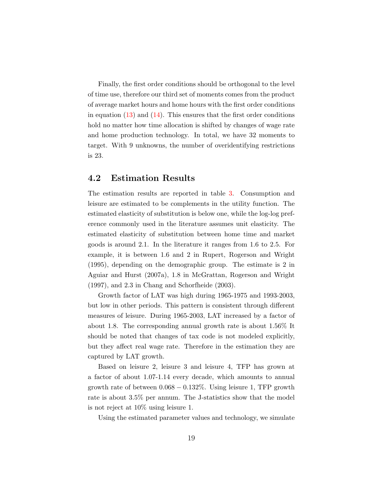Finally, the first order conditions should be orthogonal to the level of time use, therefore our third set of moments comes from the product of average market hours and home hours with the first order conditions in equation  $(13)$  and  $(14)$ . This ensures that the first order conditions hold no matter how time allocation is shifted by changes of wage rate and home production technology. In total, we have 32 moments to target. With 9 unknowns, the number of overidentifying restrictions is 23.

#### 4.2 Estimation Results

The estimation results are reported in table [3.](#page-19-0) Consumption and leisure are estimated to be complements in the utility function. The estimated elasticity of substitution is below one, while the log-log preference commonly used in the literature assumes unit elasticity. The estimated elasticity of substitution between home time and market goods is around 2.1. In the literature it ranges from 1.6 to 2.5. For example, it is between 1.6 and 2 in Rupert, Rogerson and Wright (1995), depending on the demographic group. The estimate is 2 in Aguiar and Hurst (2007a), 1.8 in McGrattan, Rogerson and Wright (1997), and 2.3 in Chang and Schorfheide (2003).

Growth factor of LAT was high during 1965-1975 and 1993-2003, but low in other periods. This pattern is consistent through different measures of leisure. During 1965-2003, LAT increased by a factor of about 1.8. The corresponding annual growth rate is about 1.56% It should be noted that changes of tax code is not modeled explicitly, but they affect real wage rate. Therefore in the estimation they are captured by LAT growth.

Based on leisure 2, leisure 3 and leisure 4, TFP has grown at a factor of about 1.07-1.14 every decade, which amounts to annual growth rate of between  $0.068 - 0.132\%$ . Using leisure 1, TFP growth rate is about 3.5% per annum. The J-statistics show that the model is not reject at 10% using leisure 1.

Using the estimated parameter values and technology, we simulate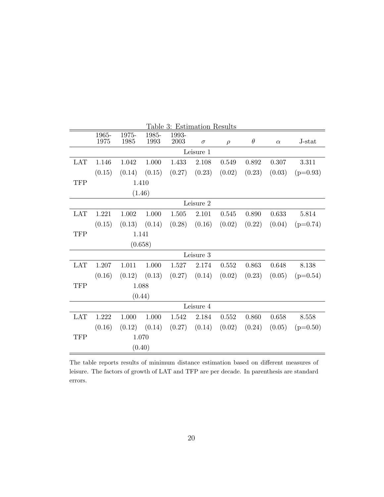<span id="page-19-0"></span>

| Table 3: Estimation Results |         |        |        |           |           |        |          |          |            |  |  |
|-----------------------------|---------|--------|--------|-----------|-----------|--------|----------|----------|------------|--|--|
|                             | 1965-   | 1975-  | 1985-  | 1993-     |           |        |          |          |            |  |  |
|                             | 1975    | 1985   | 1993   | 2003      | $\sigma$  | $\rho$ | $\theta$ | $\alpha$ | J-stat     |  |  |
| Leisure 1                   |         |        |        |           |           |        |          |          |            |  |  |
| <b>LAT</b>                  | 1.146   | 1.042  | 1.000  | 1.433     | 2.108     | 0.549  | 0.892    | 0.307    | 3.311      |  |  |
|                             | (0.15)  | (0.14) | (0.15) | (0.27)    | (0.23)    | (0.02) | (0.23)   | (0.03)   | $(p=0.93)$ |  |  |
| <b>TFP</b>                  |         |        | 1.410  |           |           |        |          |          |            |  |  |
|                             |         |        | (1.46) |           |           |        |          |          |            |  |  |
|                             |         |        |        |           | Leisure 2 |        |          |          |            |  |  |
| <b>LAT</b>                  | 1.221   | 1.002  | 1.000  | 1.505     | 2.101     | 0.545  | 0.890    | 0.633    | 5.814      |  |  |
|                             | (0.15)  | (0.13) | (0.14) | (0.28)    | (0.16)    | (0.02) | (0.22)   | (0.04)   | $(p=0.74)$ |  |  |
| <b>TFP</b>                  |         |        | 1.141  |           |           |        |          |          |            |  |  |
|                             | (0.658) |        |        |           |           |        |          |          |            |  |  |
|                             |         |        |        |           | Leisure 3 |        |          |          |            |  |  |
| <b>LAT</b>                  | 1.207   | 1.011  | 1.000  | $1.527\,$ | 2.174     | 0.552  | 0.863    | 0.648    | 8.138      |  |  |
|                             | (0.16)  | (0.12) | (0.13) | (0.27)    | (0.14)    | (0.02) | (0.23)   | (0.05)   | $(p=0.54)$ |  |  |
| <b>TFP</b>                  |         |        | 1.088  |           |           |        |          |          |            |  |  |
|                             |         |        | (0.44) |           |           |        |          |          |            |  |  |
| Leisure 4                   |         |        |        |           |           |        |          |          |            |  |  |
| <b>LAT</b>                  | 1.222   | 1.000  | 1.000  | 1.542     | 2.184     | 0.552  | 0.860    | 0.658    | 8.558      |  |  |
|                             | (0.16)  | (0.12) | (0.14) | (0.27)    | (0.14)    | (0.02) | (0.24)   | (0.05)   | $(p=0.50)$ |  |  |
| <b>TFP</b>                  |         |        | 1.070  |           |           |        |          |          |            |  |  |
|                             |         |        | (0.40) |           |           |        |          |          |            |  |  |

The table reports results of minimum distance estimation based on different measures of leisure. The factors of growth of LAT and TFP are per decade. In parenthesis are standard errors.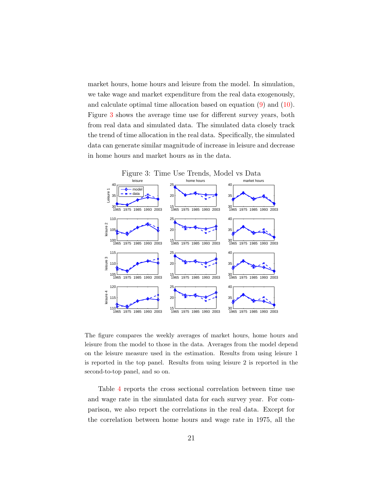market hours, home hours and leisure from the model. In simulation, we take wage and market expenditure from the real data exogenously, and calculate optimal time allocation based on equation [\(9\)](#page-14-3) and [\(10\)](#page-14-4). Figure [3](#page-20-0) shows the average time use for different survey years, both from real data and simulated data. The simulated data closely track the trend of time allocation in the real data. Specifically, the simulated data can generate similar magnitude of increase in leisure and decrease in home hours and market hours as in the data.

<span id="page-20-0"></span>

The figure compares the weekly averages of market hours, home hours and leisure from the model to those in the data. Averages from the model depend on the leisure measure used in the estimation. Results from using leisure 1 is reported in the top panel. Results from using leisure 2 is reported in the second-to-top panel, and so on.

Table [4](#page-21-0) reports the cross sectional correlation between time use and wage rate in the simulated data for each survey year. For comparison, we also report the correlations in the real data. Except for the correlation between home hours and wage rate in 1975, all the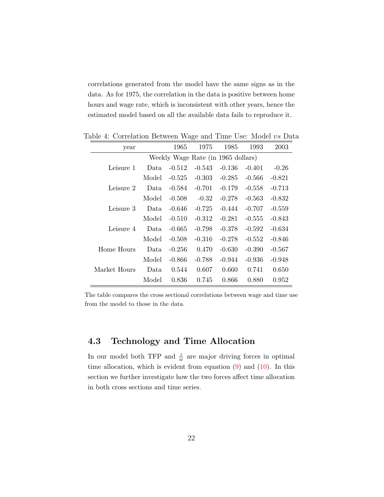correlations generated from the model have the same signs as in the data. As for 1975, the correlation in the data is positive between home hours and wage rate, which is inconsistent with other years, hence the estimated model based on all the available data fails to reproduce it.

<span id="page-21-0"></span>

| year                               |       | 1965     | 1975     | 1985     | 1993     | 2003     |  |  |  |
|------------------------------------|-------|----------|----------|----------|----------|----------|--|--|--|
| Weekly Wage Rate (in 1965 dollars) |       |          |          |          |          |          |  |  |  |
| Leisure 1                          | Data. | $-0.512$ | $-0.543$ | $-0.136$ | $-0.401$ | $-0.26$  |  |  |  |
|                                    | Model | $-0.525$ | $-0.303$ | $-0.285$ | $-0.566$ | $-0.821$ |  |  |  |
| Leisure 2                          | Data  | $-0.584$ | $-0.701$ | $-0.179$ | $-0.558$ | $-0.713$ |  |  |  |
|                                    | Model | $-0.508$ | $-0.32$  | $-0.278$ | $-0.563$ | $-0.832$ |  |  |  |
| Leisure 3                          | Data. | $-0.646$ | $-0.725$ | $-0.444$ | $-0.707$ | $-0.559$ |  |  |  |
|                                    | Model | $-0.510$ | $-0.312$ | $-0.281$ | $-0.555$ | $-0.843$ |  |  |  |
| Leisure 4                          | Data. | $-0.665$ | $-0.798$ | $-0.378$ | $-0.592$ | $-0.634$ |  |  |  |
|                                    | Model | $-0.508$ | $-0.316$ | $-0.278$ | $-0.552$ | $-0.846$ |  |  |  |
| Home Hours                         | Data. | $-0.256$ | 0.470    | $-0.630$ | $-0.390$ | $-0.567$ |  |  |  |
|                                    | Model | $-0.866$ | $-0.788$ | $-0.944$ | $-0.936$ | $-0.948$ |  |  |  |
| Market Hours                       | Data  | 0.544    | 0.607    | 0.660    | 0.741    | 0.650    |  |  |  |
|                                    | Model | 0.836    | 0.745    | 0.866    | 0.880    | 0.952    |  |  |  |

Table 4: Correlation Between Wage and Time Use: Model vs Data

The table compares the cross sectional correlations between wage and time use from the model to those in the data.

# 4.3 Technology and Time Allocation

In our model both TFP and  $\frac{z}{w}$  are major driving forces in optimal time allocation, which is evident from equation  $(9)$  and  $(10)$ . In this section we further investigate how the two forces affect time allocation in both cross sections and time series.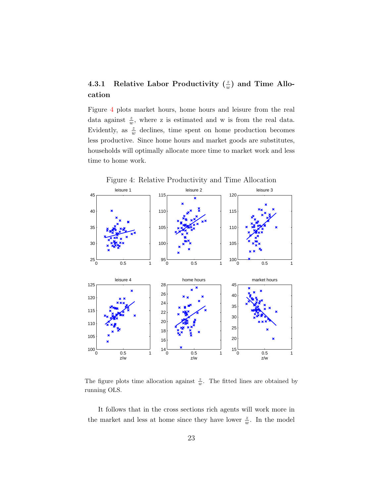## 4.3.1 Relative Labor Productivity  $(\frac{z}{w})$  and Time Allocation

Figure [4](#page-22-0) plots market hours, home hours and leisure from the real data against  $\frac{z}{w}$ , where z is estimated and w is from the real data. Evidently, as  $\frac{z}{w}$  declines, time spent on home production becomes less productive. Since home hours and market goods are substitutes, households will optimally allocate more time to market work and less time to home work.

<span id="page-22-0"></span>

The figure plots time allocation against  $\frac{z}{w}$ . The fitted lines are obtained by running OLS.

It follows that in the cross sections rich agents will work more in the market and less at home since they have lower  $\frac{z}{w}$ . In the model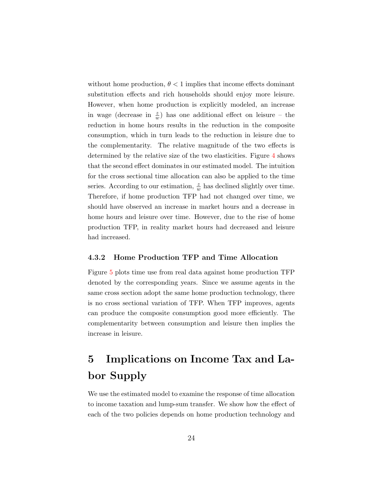without home production,  $\theta$  < 1 implies that income effects dominant substitution effects and rich households should enjoy more leisure. However, when home production is explicitly modeled, an increase in wage (decrease in  $\frac{z}{w}$ ) has one additional effect on leisure – the reduction in home hours results in the reduction in the composite consumption, which in turn leads to the reduction in leisure due to the complementarity. The relative magnitude of the two effects is determined by the relative size of the two elasticities. Figure [4](#page-22-0) shows that the second effect dominates in our estimated model. The intuition for the cross sectional time allocation can also be applied to the time series. According to our estimation,  $\frac{z}{w}$  has declined slightly over time. Therefore, if home production TFP had not changed over time, we should have observed an increase in market hours and a decrease in home hours and leisure over time. However, due to the rise of home production TFP, in reality market hours had decreased and leisure had increased.

#### 4.3.2 Home Production TFP and Time Allocation

Figure [5](#page-24-0) plots time use from real data against home production TFP denoted by the corresponding years. Since we assume agents in the same cross section adopt the same home production technology, there is no cross sectional variation of TFP. When TFP improves, agents can produce the composite consumption good more efficiently. The complementarity between consumption and leisure then implies the increase in leisure.

# 5 Implications on Income Tax and Labor Supply

We use the estimated model to examine the response of time allocation to income taxation and lump-sum transfer. We show how the effect of each of the two policies depends on home production technology and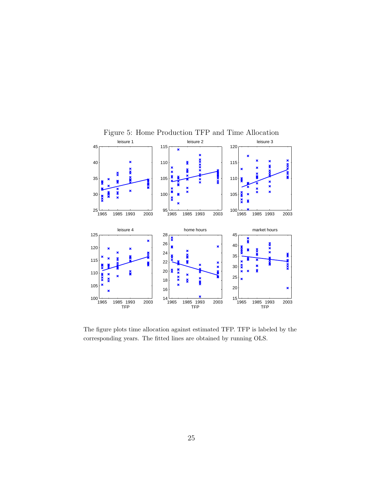

<span id="page-24-0"></span>Figure 5: Home Production TFP and Time Allocation

The figure plots time allocation against estimated TFP. TFP is labeled by the corresponding years. The fitted lines are obtained by running OLS.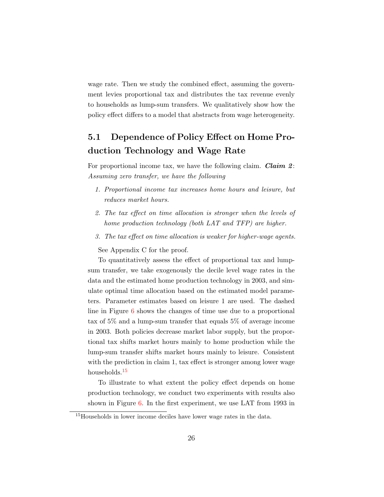wage rate. Then we study the combined effect, assuming the government levies proportional tax and distributes the tax revenue evenly to households as lump-sum transfers. We qualitatively show how the policy effect differs to a model that abstracts from wage heterogeneity.

# 5.1 Dependence of Policy Effect on Home Production Technology and Wage Rate

For proportional income tax, we have the following claim. **Claim 2:** Assuming zero transfer, we have the following

- 1. Proportional income tax increases home hours and leisure, but reduces market hours.
- 2. The tax effect on time allocation is stronger when the levels of home production technology (both LAT and TFP) are higher.
- 3. The tax effect on time allocation is weaker for higher-wage agents.

See Appendix C for the proof.

To quantitatively assess the effect of proportional tax and lumpsum transfer, we take exogenously the decile level wage rates in the data and the estimated home production technology in 2003, and simulate optimal time allocation based on the estimated model parameters. Parameter estimates based on leisure 1 are used. The dashed line in Figure [6](#page-26-0) shows the changes of time use due to a proportional tax of 5% and a lump-sum transfer that equals 5% of average income in 2003. Both policies decrease market labor supply, but the proportional tax shifts market hours mainly to home production while the lump-sum transfer shifts market hours mainly to leisure. Consistent with the prediction in claim 1, tax effect is stronger among lower wage households.<sup>[15](#page-25-0)</sup>

To illustrate to what extent the policy effect depends on home production technology, we conduct two experiments with results also shown in Figure [6.](#page-26-0) In the first experiment, we use LAT from 1993 in

<span id="page-25-0"></span><sup>&</sup>lt;sup>15</sup>Households in lower income deciles have lower wage rates in the data.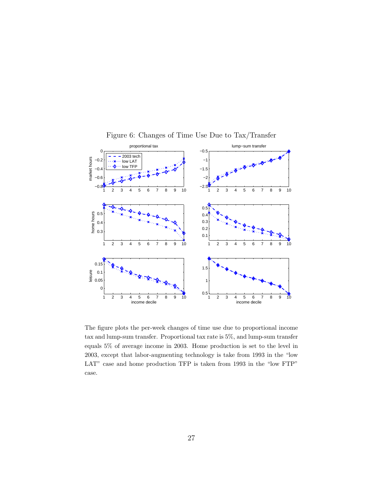

<span id="page-26-0"></span>Figure 6: Changes of Time Use Due to Tax/Transfer

The figure plots the per-week changes of time use due to proportional income tax and lump-sum transfer. Proportional tax rate is 5%, and lump-sum transfer equals 5% of average income in 2003. Home production is set to the level in 2003, except that labor-augmenting technology is take from 1993 in the "low LAT" case and home production TFP is taken from 1993 in the "low FTP" case.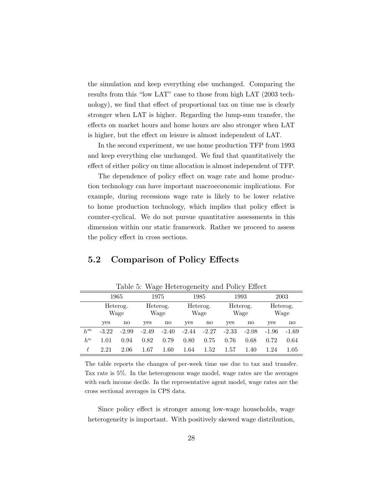the simulation and keep everything else unchanged. Comparing the results from this "low LAT" case to those from high LAT (2003 technology), we find that effect of proportional tax on time use is clearly stronger when LAT is higher. Regarding the lump-sum transfer, the effects on market hours and home hours are also stronger when LAT is higher, but the effect on leisure is almost independent of LAT.

In the second experiment, we use home production TFP from 1993 and keep everything else unchanged. We find that quantitatively the effect of either policy on time allocation is almost independent of TFP.

The dependence of policy effect on wage rate and home production technology can have important macroeconomic implications. For example, during recessions wage rate is likely to be lower relative to home production technology, which implies that policy effect is counter-cyclical. We do not pursue quantitative assessments in this dimension within our static framework. Rather we proceed to assess the policy effect in cross sections.

## 5.2 Comparison of Policy Effects

|       | $10000$ . These model exercisely with $1000$ and $1000$ |         |          |                  |                  |              |                  |                        |                  |         |  |
|-------|---------------------------------------------------------|---------|----------|------------------|------------------|--------------|------------------|------------------------|------------------|---------|--|
|       | 1965                                                    |         |          | 1975             |                  | 1985         |                  | 1993                   |                  | 2003    |  |
|       | Heterog.<br>Wage                                        |         |          | Heterog.<br>Wage | Heterog.<br>Wage |              | Heterog.<br>Wage |                        | Heterog.<br>Wage |         |  |
|       | yes                                                     | no      | yes      | no               | yes              | $\mathbf{n}$ | yes              | $\mathbf{n}\mathbf{o}$ | yes              | no      |  |
| $h^m$ | $-3.22$                                                 | $-2.99$ | $-2.49$  | $-2.40$          | $-2.44$          | $-2.27$      | $-2.33$          | $-2.08$                | $-1.96$          | $-1.69$ |  |
| $h^n$ | $1.01\,$                                                | 0.94    | 0.82     | 0.79             | 0.80             | 0.75         | 0.76             | 0.68                   | 0.72             | 0.64    |  |
| ł.    | 2.21                                                    | 2.06    | $1.67\,$ | $1.60\,$         | 1.64             | 1.52         | 1.57             | 1.40                   | 1.24             | 1.05    |  |

<span id="page-27-0"></span>Table 5: Wage Heterogeneity and Policy Effect

The table reports the changes of per-week time use due to tax and transfer. Tax rate is 5%. In the heterogenous wage model, wage rates are the averages with each income decile. In the representative agent model, wage rates are the cross sectional averages in CPS data.

Since policy effect is stronger among low-wage households, wage heterogeneity is important. With positively skewed wage distribution,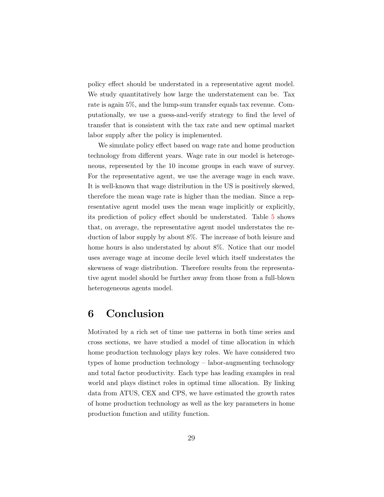policy effect should be understated in a representative agent model. We study quantitatively how large the understatement can be. Tax rate is again 5%, and the lump-sum transfer equals tax revenue. Computationally, we use a guess-and-verify strategy to find the level of transfer that is consistent with the tax rate and new optimal market labor supply after the policy is implemented.

We simulate policy effect based on wage rate and home production technology from different years. Wage rate in our model is heterogeneous, represented by the 10 income groups in each wave of survey. For the representative agent, we use the average wage in each wave. It is well-known that wage distribution in the US is positively skewed, therefore the mean wage rate is higher than the median. Since a representative agent model uses the mean wage implicitly or explicitly, its prediction of policy effect should be understated. Table [5](#page-27-0) shows that, on average, the representative agent model understates the reduction of labor supply by about 8%. The increase of both leisure and home hours is also understated by about 8%. Notice that our model uses average wage at income decile level which itself understates the skewness of wage distribution. Therefore results from the representative agent model should be further away from those from a full-blown heterogeneous agents model.

# 6 Conclusion

Motivated by a rich set of time use patterns in both time series and cross sections, we have studied a model of time allocation in which home production technology plays key roles. We have considered two types of home production technology – labor-augmenting technology and total factor productivity. Each type has leading examples in real world and plays distinct roles in optimal time allocation. By linking data from ATUS, CEX and CPS, we have estimated the growth rates of home production technology as well as the key parameters in home production function and utility function.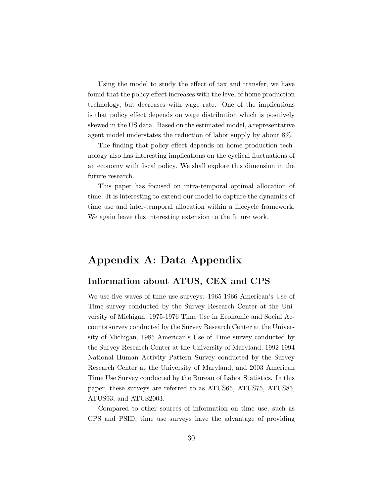Using the model to study the effect of tax and transfer, we have found that the policy effect increases with the level of home production technology, but decreases with wage rate. One of the implications is that policy effect depends on wage distribution which is positively skewed in the US data. Based on the estimated model, a representative agent model understates the reduction of labor supply by about 8%.

The finding that policy effect depends on home production technology also has interesting implications on the cyclical fluctuations of an economy with fiscal policy. We shall explore this dimension in the future research.

This paper has focused on intra-temporal optimal allocation of time. It is interesting to extend our model to capture the dynamics of time use and inter-temporal allocation within a lifecycle framework. We again leave this interesting extension to the future work.

# Appendix A: Data Appendix

### Information about ATUS, CEX and CPS

We use five waves of time use surveys: 1965-1966 American's Use of Time survey conducted by the Survey Research Center at the University of Michigan, 1975-1976 Time Use in Economic and Social Accounts survey conducted by the Survey Research Center at the University of Michigan, 1985 American's Use of Time survey conducted by the Survey Research Center at the University of Maryland, 1992-1994 National Human Activity Pattern Survey conducted by the Survey Research Center at the University of Maryland, and 2003 American Time Use Survey conducted by the Bureau of Labor Statistics. In this paper, these surveys are referred to as ATUS65, ATUS75, ATUS85, ATUS93, and ATUS2003.

Compared to other sources of information on time use, such as CPS and PSID, time use surveys have the advantage of providing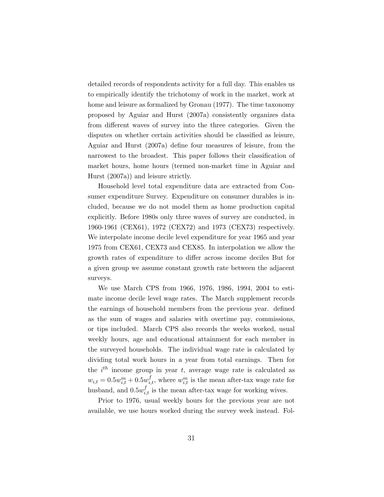detailed records of respondents activity for a full day. This enables us to empirically identify the trichotomy of work in the market, work at home and leisure as formalized by [Gronau](#page-35-0) [\(1977\)](#page-35-0). The time taxonomy proposed by [Aguiar and Hurst](#page-34-4) [\(2007a\)](#page-34-4) consistently organizes data from different waves of survey into the three categories. Given the disputes on whether certain activities should be classified as leisure, [Aguiar and Hurst](#page-34-4) [\(2007a\)](#page-34-4) define four measures of leisure, from the narrowest to the broadest. This paper follows their classification of market hours, home hours (termed non-market time in [Aguiar and](#page-34-4) [Hurst](#page-34-4) [\(2007a\)](#page-34-4)) and leisure strictly.

Household level total expenditure data are extracted from Consumer expenditure Survey. Expenditure on consumer durables is included, because we do not model them as home production capital explicitly. Before 1980s only three waves of survey are conducted, in 1960-1961 (CEX61), 1972 (CEX72) and 1973 (CEX73) respectively. We interpolate income decile level expenditure for year 1965 and year 1975 from CEX61, CEX73 and CEX85. In interpolation we allow the growth rates of expenditure to differ across income deciles But for a given group we assume constant growth rate between the adjacent surveys.

We use March CPS from 1966, 1976, 1986, 1994, 2004 to estimate income decile level wage rates. The March supplement records the earnings of household members from the previous year. defined as the sum of wages and salaries with overtime pay, commissions, or tips included. March CPS also records the weeks worked, usual weekly hours, age and educational attainment for each member in the surveyed households. The individual wage rate is calculated by dividing total work hours in a year from total earnings. Then for the  $i^{th}$  income group in year t, average wage rate is calculated as  $w_{i,t} = 0.5w_{i,t}^m + 0.5w_{i,t}^f$ , where  $w_{i,t}^m$  is the mean after-tax wage rate for husband, and  $0.5w_{i,t}^f$  is the mean after-tax wage for working wives.

Prior to 1976, usual weekly hours for the previous year are not available, we use hours worked during the survey week instead. Fol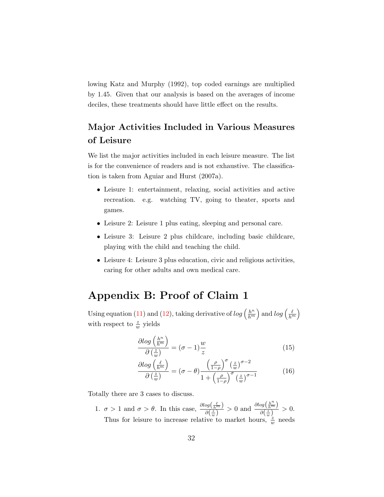lowing [Katz and Murphy](#page-35-9) [\(1992\)](#page-35-9), top coded earnings are multiplied by 1.45. Given that our analysis is based on the averages of income deciles, these treatments should have little effect on the results.

# Major Activities Included in Various Measures of Leisure

We list the major activities included in each leisure measure. The list is for the convenience of readers and is not exhaustive. The classification is taken from [Aguiar and Hurst](#page-34-4) [\(2007a\)](#page-34-4).

- Leisure 1: entertainment, relaxing, social activities and active recreation. e.g. watching TV, going to theater, sports and games.
- Leisure 2: Leisure 1 plus eating, sleeping and personal care.
- Leisure 3: Leisure 2 plus childcare, including basic childcare, playing with the child and teaching the child.
- Leisure 4: Leisure 3 plus education, civic and religious activities, caring for other adults and own medical care.

# Appendix B: Proof of Claim 1

Using equation [\(11\)](#page-15-0) and [\(12\)](#page-15-1), taking derivative of  $log\left(\frac{h^n}{h^m}\right)$  $\frac{h^n}{h^m}$  and  $log\left(\frac{\ell}{h^m}\right)$ with respect to  $\frac{z}{w}$  yields

$$
\frac{\partial \log\left(\frac{h^n}{h^m}\right)}{\partial\left(\frac{z}{w}\right)} = (\sigma - 1)\frac{w}{z} \tag{15}
$$

$$
\frac{\partial \log\left(\frac{\ell}{h^m}\right)}{\partial\left(\frac{z}{w}\right)} = (\sigma - \theta) \frac{\left(\frac{\rho}{1-\rho}\right)^{\sigma} \left(\frac{z}{w}\right)^{\sigma - 2}}{1 + \left(\frac{\rho}{1-\rho}\right)^{\sigma} \left(\frac{z}{w}\right)^{\sigma - 1}}\tag{16}
$$

Totally there are 3 cases to discuss.

1.  $\sigma > 1$  and  $\sigma > \theta$ . In this case,  $\frac{\partial log(\frac{\ell}{h_m}}{\partial \sigma^2)}$  $\frac{\log\left(\frac{\ell}{h^m}\right)}{\partial\left(\frac{x}{w}\right)} > 0$  and  $\frac{\partial \log\left(\frac{h^n}{h^m}\right)}{\partial\left(\frac{x}{w}\right)}$  $\frac{\partial g\left(\frac{km}{m}\right)}{\partial \left(\frac{z}{w}\right)} > 0.$ Thus for leisure to increase relative to market hours,  $\frac{z}{w}$  needs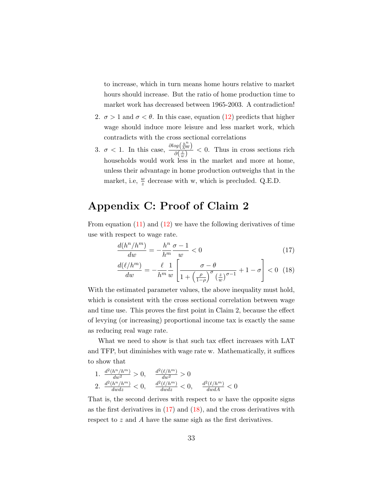to increase, which in turn means home hours relative to market hours should increase. But the ratio of home production time to market work has decreased between 1965-2003. A contradiction!

- 2.  $\sigma > 1$  and  $\sigma < \theta$ . In this case, equation [\(12\)](#page-15-1) predicts that higher wage should induce more leisure and less market work, which contradicts with the cross sectional correlations
- 3.  $\sigma < 1$ . In this case,  $\frac{\partial log(\frac{h^n}{h^m})}{\partial (z)}$  $\frac{\partial^g (h^m)}{\partial (\frac{z}{w})}$  < 0. Thus in cross sections rich households would work less in the market and more at home, unless their advantage in home production outweighs that in the market, i.e,  $\frac{w}{z}$  decrease with w, which is precluded. Q.E.D.

# Appendix C: Proof of Claim 2

From equation  $(11)$  and  $(12)$  we have the following derivatives of time use with respect to wage rate.

$$
\frac{d(h^n/h^m)}{dw} = -\frac{h^n}{h^m} \frac{\sigma - 1}{w} < 0\tag{17}
$$

<span id="page-32-0"></span>
$$
\frac{d(\ell/h^m)}{dw} = -\frac{\ell}{h^m} \frac{1}{w} \left[ \frac{\sigma - \theta}{1 + \left(\frac{\rho}{1 - \rho}\right)^{\sigma} \left(\frac{z}{w}\right)^{\sigma - 1}} + 1 - \sigma \right] < 0 \tag{18}
$$

With the estimated parameter values, the above inequality must hold, which is consistent with the cross sectional correlation between wage and time use. This proves the first point in Claim 2, because the effect of levying (or increasing) proportional income tax is exactly the same as reducing real wage rate.

What we need to show is that such tax effect increases with LAT and TFP, but diminishes with wage rate w. Mathematically, it suffices to show that

1. 
$$
\frac{d^{2}(h^{n}/h^{m})}{dw^{2}} > 0, \quad \frac{d^{2}(\ell/h^{m})}{dw^{2}} > 0
$$
  
2. 
$$
\frac{d^{2}(h^{n}/h^{m})}{dwdz} < 0, \quad \frac{d^{2}(\ell/h^{m})}{dwdz} < 0, \quad \frac{d^{2}(\ell/h^{m})}{dwdA} < 0
$$

That is, the second derives with respect to  $w$  have the opposite signs as the first derivatives in  $(17)$  and  $(18)$ , and the cross derivatives with respect to z and A have the same sigh as the first derivatives.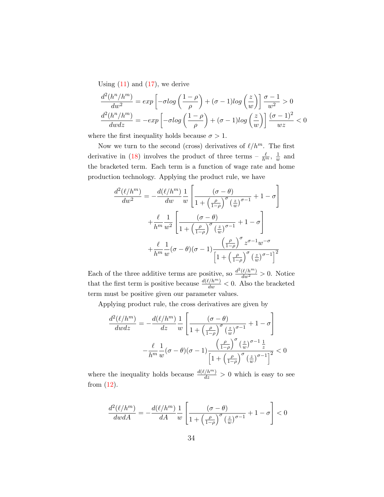Using  $(11)$  and  $(17)$ , we derive

$$
\frac{d^2(h^n/h^m)}{dw^2} = exp\left[-\sigma \log\left(\frac{1-\rho}{\rho}\right) + (\sigma - 1)\log\left(\frac{z}{w}\right)\right] \frac{\sigma - 1}{w^2} > 0
$$

$$
\frac{d^2(h^n/h^m)}{dwdz} = -exp\left[-\sigma \log\left(\frac{1-\rho}{\rho}\right) + (\sigma - 1)\log\left(\frac{z}{w}\right)\right] \frac{(\sigma - 1)^2}{wz} < 0
$$

where the first inequality holds because  $\sigma > 1$ .

Now we turn to the second (cross) derivatives of  $\ell/h^m$ . The first derivative in [\(18\)](#page-32-0) involves the product of three terms  $-\frac{\ell}{h^m}$ ,  $\frac{1}{u}$  $\frac{1}{w}$  and the bracketed term. Each term is a function of wage rate and home production technology. Applying the product rule, we have

$$
\frac{d^2(\ell/h^m)}{dw^2} = -\frac{d(\ell/h^m)}{dw} \frac{1}{w} \left[ \frac{(\sigma - \theta)}{1 + \left(\frac{\rho}{1 - \rho}\right)^{\sigma} \left(\frac{z}{w}\right)^{\sigma - 1}} + 1 - \sigma \right]
$$

$$
+ \frac{\ell}{h^m} \frac{1}{w^2} \left[ \frac{(\sigma - \theta)}{1 + \left(\frac{\rho}{1 - \rho}\right)^{\sigma} \left(\frac{z}{w}\right)^{\sigma - 1}} + 1 - \sigma \right]
$$

$$
+ \frac{\ell}{h^m} \frac{1}{w} (\sigma - \theta)(\sigma - 1) \frac{\left(\frac{\rho}{1 - \rho}\right)^{\sigma} z^{\sigma - 1} w^{-\sigma}}{\left[1 + \left(\frac{\rho}{1 - \rho}\right)^{\sigma} \left(\frac{z}{w}\right)^{\sigma - 1}\right]^2}
$$

Each of the three additive terms are positive, so  $\frac{d^2(\ell/h^m)}{dw^2} > 0$ . Notice that the first term is positive because  $\frac{d(\ell/h^m)}{dw} < 0$ . Also the bracketed term must be positive given our parameter values.

Applying product rule, the cross derivatives are given by

$$
\frac{d^2(\ell/h^m)}{dwdz} = -\frac{d(\ell/h^m)}{dz}\frac{1}{w}\left[\frac{(\sigma-\theta)}{1+\left(\frac{\rho}{1-\rho}\right)^{\sigma}\left(\frac{z}{w}\right)^{\sigma-1}}+1-\sigma\right]
$$

$$
-\frac{\ell}{h^m}\frac{1}{w}(\sigma-\theta)(\sigma-1)\frac{\left(\frac{\rho}{1-\rho}\right)^{\sigma}\left(\frac{z}{w}\right)^{\sigma-1}\frac{1}{z}}{\left[1+\left(\frac{\rho}{1-\rho}\right)^{\sigma}\left(\frac{z}{w}\right)^{\sigma-1}\right]^2} < 0
$$

where the inequality holds because  $\frac{d(\ell/h^m)}{dz} > 0$  which is easy to see from [\(12\)](#page-15-1).

$$
\frac{d^2(\ell/h^m)}{dwdA} = -\frac{d(\ell/h^m)}{dA}\frac{1}{w}\left[\frac{(\sigma-\theta)}{1+\left(\frac{\rho}{1-\rho}\right)^{\sigma}\left(\frac{z}{w}\right)^{\sigma-1}}+1-\sigma\right] < 0
$$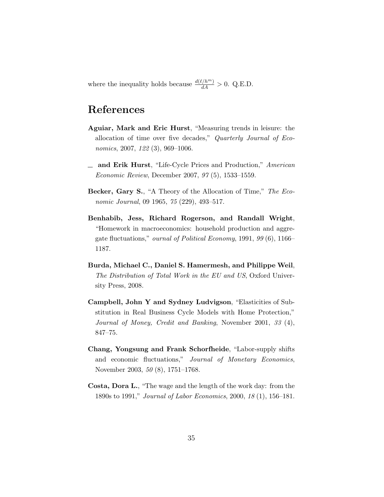where the inequality holds because  $\frac{d(\ell/h^m)}{dA} > 0$ . Q.E.D.

# References

- <span id="page-34-4"></span>Aguiar, Mark and Eric Hurst, "Measuring trends in leisure: the allocation of time over five decades," Quarterly Journal of Economics, 2007, 122 (3), 969–1006.
- <span id="page-34-1"></span> $\equiv$  and Erik Hurst, "Life-Cycle Prices and Production," American Economic Review, December 2007, 97 (5), 1533–1559.
- <span id="page-34-7"></span>Becker, Gary S., "A Theory of the Allocation of Time," The Economic Journal, 09 1965, 75 (229), 493–517.
- <span id="page-34-3"></span>Benhabib, Jess, Richard Rogerson, and Randall Wright, "Homework in macroeconomics: household production and aggregate fluctuations," ournal of Political Economy, 1991, 99 (6), 1166– 1187.
- <span id="page-34-6"></span>Burda, Michael C., Daniel S. Hamermesh, and Philippe Weil, The Distribution of Total Work in the EU and US, Oxford University Press, 2008.
- <span id="page-34-0"></span>Campbell, John Y and Sydney Ludvigson, "Elasticities of Substitution in Real Business Cycle Models with Home Protection," Journal of Money, Credit and Banking, November 2001, 33 (4), 847–75.
- <span id="page-34-5"></span>Chang, Yongsung and Frank Schorfheide, "Labor-supply shifts and economic fluctuations," Journal of Monetary Economics, November 2003, 50 (8), 1751–1768.
- <span id="page-34-2"></span>Costa, Dora L., "The wage and the length of the work day: from the 1890s to 1991," Journal of Labor Economics, 2000, 18 (1), 156–181.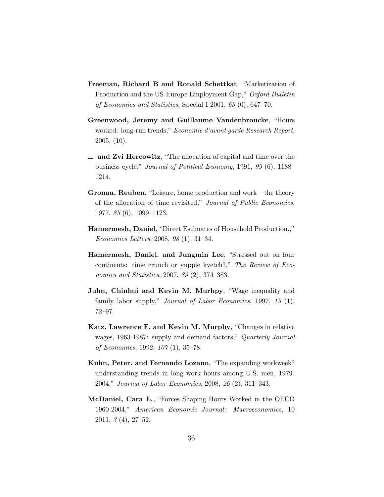- <span id="page-35-7"></span>Freeman, Richard B and Ronald Schettkat, "Marketization of Production and the US-Europe Employment Gap," Oxford Bulletin of Economics and Statistics, Special I 2001, 63 (0), 647–70.
- <span id="page-35-3"></span>Greenwood, Jeremy and Guillaume Vandenbroucke, "Hours worked: long-run trends," Economie d'avant garde Research Report, 2005, (10).
- <span id="page-35-1"></span> $\equiv$  and Zvi Hercowitz, "The allocation of capital and time over the business cycle," Journal of Political Economy, 1991, 99 (6), 1188– 1214.
- <span id="page-35-0"></span>Gronau, Reuben, "Leisure, home production and work – the theory of the allocation of time revisited," Journal of Public Economics, 1977, 85 (6), 1099–1123.
- <span id="page-35-8"></span>Hamermesh, Daniel, "Direct Estimates of Household Production.," Economics Letters, 2008, 98 (1), 31–34.
- <span id="page-35-6"></span>Hamermesh, Daniel. and Jungmin Lee, "Stressed out on four continents: time crunch or yuppie kvetch?," The Review of Economics and Statistics, 2007, 89 (2), 374–383.
- <span id="page-35-5"></span>Juhn, Chinhui and Kevin M. Murhpy, "Wage inequality and family labor supply," Journal of Labor Economics, 1997, 15 (1), 72–97.
- <span id="page-35-9"></span>Katz, Lawrence F. and Kevin M. Murphy, "Changes in relative wages, 1963-1987: supply and demand factors," Quarterly Journal of Economics, 1992, 107 (1), 35–78.
- <span id="page-35-4"></span>Kuhn, Peter. and Fernando Lozano, "The expanding workweek? understanding trends in long work hours among U.S. men, 1979- 2004," Journal of Labor Economics, 2008, 26 (2), 311–343.
- <span id="page-35-2"></span>McDaniel, Cara E., "Forces Shaping Hours Worked in the OECD 1960-2004," American Economic Journal: Macroeconomics, 10 2011, 3 (4), 27–52.